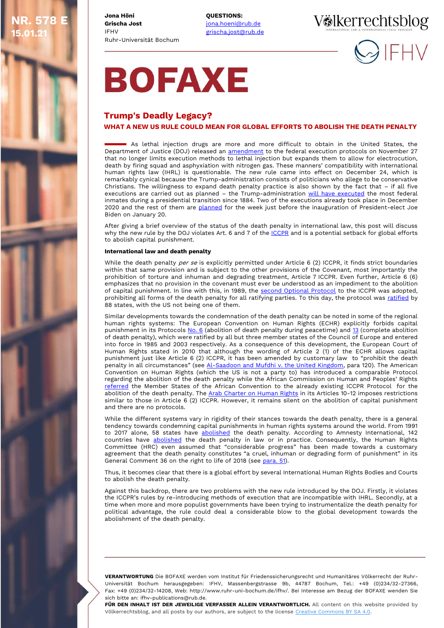**Jona Höni Grischa Jost** IFHV **NR. 578 E 15.01.21**

Ruhr-Universität Bochum **QUESTIONS:** [jona.hoeni@rub.de](mailto:jona.hoeni@rub.de) [grischa.jost@rub.de](mailto:sonja.schaefer@rub.de) Völkerrechtsblog



# **BOFAXE**

## **WHAT A NEW US RULE COULD MEAN FOR GLOBAL EFFORTS TO ABOLISH THE DEATH PENALTY** TT **Trump's Deadly Legacy?**

As lethal injection drugs are more and more difficult to obtain in the United States, the Department of Justice (DOJ) released an [amendment](https://www.federalregister.gov/documents/2020/11/27/2020-25867/manner-of-federal-executions) to the federal execution protocols on November 27 that no longer limits execution methods to lethal injection but expands them to allow for electrocution, death by firing squad and asphyxiation with nitrogen gas. These manners' compatibility with international human rights law (IHRL) is questionable. The new rule came into effect on December 24, which is remarkably cynical because the Trump-administration consists of politicians who allege to be conservative Christians. The willingness to expand death penalty practice is also shown by the fact that – if all five executions are carried out as planned - the Trump-administration [will have executed](https://edition.cnn.com/2020/11/27/politics/federal-execution-new-rule-firing-squads/index.html) the most federal inmates during a presidential transition since 1884. Two of the executions already took place in December 2020 and the rest of them are [planned](https://deathpenaltyinfo.org/executions/upcoming-executions) for the week just before the inauguration of President-elect Joe Biden on January 20.

After giving a brief overview of the status of the death penalty in international law, this post will discuss why the new rule by the DOJ violates Art. 6 and 7 of th[e ICCPR](https://www.ohchr.org/en/professionalinterest/pages/ccpr.aspx) and is a potential setback for global efforts to abolish capital punishment.

### **International law and death penalty**

While the death penalty per se is explicitly permitted under Article 6 (2) ICCPR, it finds strict boundaries within that same provision and is subject to the other provisions of the Covenant, most importantly the prohibition of torture and inhuman and degrading treatment, Article 7 ICCPR. Even further, Article 6 (6) emphasizes that no provision in the covenant must ever be understood as an impediment to the abolition of capital punishment. In line with this, in 1989, the [second Optional Protocol](https://treaties.un.org/Pages/ViewDetails.aspx?src=TREATY&mtdsg_no=IV-12&chapter=4&lang=en) to the ICCPR was adopted, prohibiting all forms of the death penalty for all ratifying parties. To this day, the protocol was [ratified](https://treaties.un.org/Pages/ViewDetails.aspx?src=TREATY&mtdsg_no=IV-12&chapter=4&lang=en) by 88 states, with the US not being one of them.

Similar developments towards the condemnation of the death penalty can be noted in some of the regional human rights systems: The European Convention on Human Rights (ECHR) explicitly forbids capital punishment in its Protocol[s No. 6](https://www.coe.int/en/web/conventions/full-list/-/conventions/treaty/114) (abolition of death penalty during peacetime) an[d 13](https://www.coe.int/en/web/conventions/full-list/-/conventions/treaty/187/signatures) (complete abolition of death penalty), which were ratified by all but three member states of the Council of Europe and entered into force in 1985 and 2003 respectively. As a consequence of this development, the European Court of Human Rights stated in 2010 that although the wording of Article 2 (1) of the ECHR allows capital punishment just like Article 6 (2) ICCPR, it has been amended by customary law to "prohibit the death penalty in all circumstances" (see Al-Saadoon and Mufdhi v. the United Kingdom, para 120). The American Convention on Human Rights (which the US is not a party to) has introduced a comparable Protocol regarding the abolition of the death penalty while the African Commission on Human and Peoples' Rights [referred](https://www.achpr.org/pressrelease/detail?id=197) the Member States of the African Convention to the already existing ICCPR Protocol for the abolition of the death penalty. Th[e Arab Charter on Human Rights](https://www.refworld.org/docid/3ae6b38540.html) in its Articles 10-12 imposes restrictions similar to those in Article 6 (2) ICCPR. However, it remains silent on the abolition of capital punishment and there are no protocols.

While the different systems vary in rigidity of their stances towards the death penalty, there is a general tendency towards condemning capital punishments in human rights systems around the world. From 1991 to 2017 alone, 58 states have [abolished](https://www.bbc.com/news/world-45835584) the death penalty. According to Amnesty International, 142 countries have [abolished](https://www.bbc.com/news/world-45835584) the death penalty in law or in practice. Consequently, the Human Rights Committee (HRC) even assumed that "considerable progress" has been made towards a customary agreement that the death penalty constitutes "a cruel, inhuman or degrading form of punishment" in its General Comment 36 on the right to life of 2018 (see [para. 51\)](https://tbinternet.ohchr.org/_layouts/15/treatybodyexternal/Download.aspx?symbolno=CCPR%2fC%2fGC%2f36&Lang=en).

Thus, it becomes clear that there is a global effort by several International Human Rights Bodies and Courts to abolish the death penalty.

Against this backdrop, there are two problems with the new rule introduced by the DOJ. Firstly, it violates the ICCPR's rules by re-introducing methods of execution that are incompatible with IHRL. Secondly, at a time when more and more populist governments have been trying to instrumentalize the death penalty for political advantage, the rule could deal a considerable blow to the global development towards the abolishment of the death penalty.

**VERANTWORTUNG** Die BOFAXE werden vom Institut für Friedenssicherungsrecht und Humanitäres Völkerrecht der Ruhr-Universität Bochum herausgegeben: IFHV, Massenbergstrasse 9b, 44787 Bochum, Tel.: +49 (0)234/32-27366, Fax: +49 (0)234/32-14208, Web: http://www.ruhr-uni-bochum.de/ifhv/. Bei Interesse am Bezug der BOFAXE wenden Sie sich bitte an: ifhv-publications@rub.de.

**FÜR DEN INHALT IST DER JEWEILIGE VERFASSER ALLEIN VERANTWORTLICH.** All content on this website provided by Völkerrechtsblog, and all posts by our authors, are subject to the license [Creative Commons BY SA 4.0.](https://creativecommons.org/licenses/by-sa/4.0/)